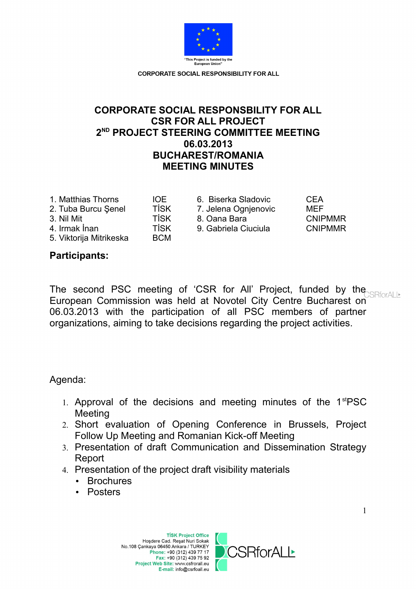

# **CORPORATE SOCIAL RESPONSBILITY FOR ALL CSR FOR ALL PROJECT 2 ND PROJECT STEERING COMMITTEE MEETING 06.03.2013 BUCHAREST/ROMANIA MEETING MINUTES**

| 1. Matthias Thorns      |  |
|-------------------------|--|
| 2. Tuba Burcu Şenel     |  |
| 3. Nil Mit              |  |
| 4. Irmak İnan           |  |
| 5. Viktorija Mitrikeska |  |
|                         |  |

10E 6. Biserka Sladovic CEA TISK 7. Jelena Ognjenovic MEF 3. Nil Mit TİSK 8. Oana Bara CNIPMMR TISK 9. Gabriela Ciuciula CNIPMMR

## **Participants:**

The second PSC meeting of 'CSR for All' Project, funded by the European Commission was held at Novotel City Centre Bucharest on 06.03.2013 with the participation of all PSC members of partner organizations, aiming to take decisions regarding the project activities.

Agenda:

- 1. Approval of the decisions and meeting minutes of the 1<sup>st</sup>PSC **Meeting**
- 2. Short evaluation of Opening Conference in Brussels, Project Follow Up Meeting and Romanian Kick-off Meeting
- 3. Presentation of draft Communication and Dissemination Strategy Report
- 4. Presentation of the project draft visibility materials

BCM

- Brochures
- Posters

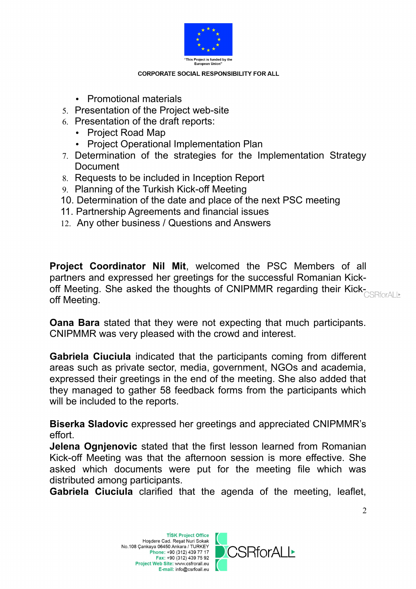

- Promotional materials
- 5. Presentation of the Project web-site
- 6. Presentation of the draft reports:
	- Project Road Map
	- Project Operational Implementation Plan
- 7. Determination of the strategies for the Implementation Strategy **Document**
- 8. Requests to be included in Inception Report
- 9. Planning of the Turkish Kick-off Meeting
- 10. Determination of the date and place of the next PSC meeting
- 11. Partnership Agreements and financial issues
- 12. Any other business / Questions and Answers

**Project Coordinator Nil Mit**, welcomed the PSC Members of all partners and expressed her greetings for the successful Romanian Kickoff Meeting. She asked the thoughts of CNIPMMR regarding their Kickoff Meeting.

**Oana Bara** stated that they were not expecting that much participants. CNIPMMR was very pleased with the crowd and interest.

**Gabriela Ciuciula** indicated that the participants coming from different areas such as private sector, media, government, NGOs and academia, expressed their greetings in the end of the meeting. She also added that they managed to gather 58 feedback forms from the participants which will be included to the reports.

**Biserka Sladovic** expressed her greetings and appreciated CNIPMMR's effort.

**Jelena Ognjenovic** stated that the first lesson learned from Romanian Kick-off Meeting was that the afternoon session is more effective. She asked which documents were put for the meeting file which was distributed among participants.

**Gabriela Ciuciula** clarified that the agenda of the meeting, leaflet,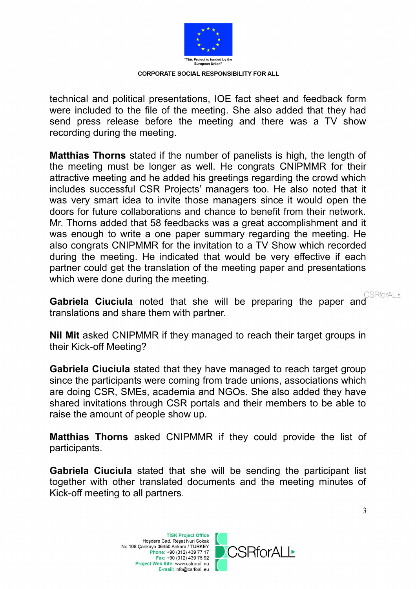

technical and political presentations, IOE fact sheet and feedback form were included to the file of the meeting. She also added that they had send press release before the meeting and there was a TV show recording during the meeting.

**Matthias Thorns** stated if the number of panelists is high, the length of the meeting must be longer as well. He congrats CNIPMMR for their attractive meeting and he added his greetings regarding the crowd which includes successful CSR Projects' managers too. He also noted that it was very smart idea to invite those managers since it would open the doors for future collaborations and chance to benefit from their network. Mr. Thorns added that 58 feedbacks was a great accomplishment and it was enough to write a one paper summary regarding the meeting. He also congrats CNIPMMR for the invitation to a TV Show which recorded during the meeting. He indicated that would be very effective if each partner could get the translation of the meeting paper and presentations which were done during the meeting.

**Gabriela Ciuciula** noted that she will be preparing the paper and CSRforALL translations and share them with partner.

**Nil Mit** asked CNIPMMR if they managed to reach their target groups in their Kick-off Meeting?

**Gabriela Ciuciula** stated that they have managed to reach target group since the participants were coming from trade unions, associations which are doing CSR, SMEs, academia and NGOs. She also added they have shared invitations through CSR portals and their members to be able to raise the amount of people show up.

**Matthias Thorns** asked CNIPMMR if they could provide the list of participants.

**Gabriela Ciuciula** stated that she will be sending the participant list together with other translated documents and the meeting minutes of Kick-off meeting to all partners.

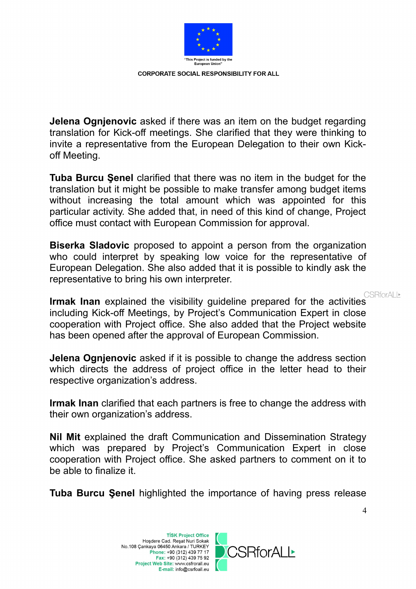

**Jelena Ognjenovic** asked if there was an item on the budget regarding translation for Kick-off meetings. She clarified that they were thinking to invite a representative from the European Delegation to their own Kickoff Meeting.

**Tuba Burcu Şenel** clarified that there was no item in the budget for the translation but it might be possible to make transfer among budget items without increasing the total amount which was appointed for this particular activity. She added that, in need of this kind of change, Project office must contact with European Commission for approval.

**Biserka Sladovic** proposed to appoint a person from the organization who could interpret by speaking low voice for the representative of European Delegation. She also added that it is possible to kindly ask the representative to bring his own interpreter.

CSRforALI

**Irmak Inan** explained the visibility guideline prepared for the activities including Kick-off Meetings, by Project's Communication Expert in close cooperation with Project office. She also added that the Project website has been opened after the approval of European Commission.

**Jelena Ognjenovic** asked if it is possible to change the address section which directs the address of project office in the letter head to their respective organization's address.

**Irmak Inan** clarified that each partners is free to change the address with their own organization's address.

**Nil Mit** explained the draft Communication and Dissemination Strategy which was prepared by Project's Communication Expert in close cooperation with Project office. She asked partners to comment on it to be able to finalize it.

**Tuba Burcu Şenel** highlighted the importance of having press release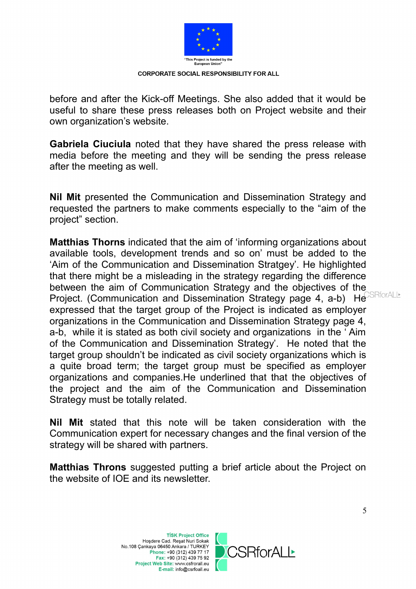

before and after the Kick-off Meetings. She also added that it would be useful to share these press releases both on Project website and their own organization's website.

**Gabriela Ciuciula** noted that they have shared the press release with media before the meeting and they will be sending the press release after the meeting as well.

**Nil Mit** presented the Communication and Dissemination Strategy and requested the partners to make comments especially to the "aim of the project" section.

**Matthias Thorns** indicated that the aim of 'informing organizations about available tools, development trends and so on' must be added to the 'Aim of the Communication and Dissemination Stratgey'. He highlighted that there might be a misleading in the strategy regarding the difference between the aim of Communication Strategy and the objectives of the Project. (Communication and Dissemination Strategy page 4, a-b) He expressed that the target group of the Project is indicated as employer organizations in the Communication and Dissemination Strategy page 4, a-b, while it is stated as both civil society and organizations in the ' Aim of the Communication and Dissemination Strategy'. He noted that the target group shouldn't be indicated as civil society organizations which is a quite broad term; the target group must be specified as employer organizations and companies.He underlined that that the objectives of the project and the aim of the Communication and Dissemination Strategy must be totally related.

**Nil Mit** stated that this note will be taken consideration with the Communication expert for necessary changes and the final version of the strategy will be shared with partners.

**Matthias Throns** suggested putting a brief article about the Project on the website of IOE and its newsletter.

> **TİSK Project Office** Hoşdere Cad. Reşat Nuri Sokak No.108 Çankaya 06450 Ankara / TURKEY Phone: +90 (312) 439 77 17 Fax: +90 (312) 439 75 92 Project Web Site: www.csfrorall.eu E-mail: info@csrfoall.eu



**RforALL**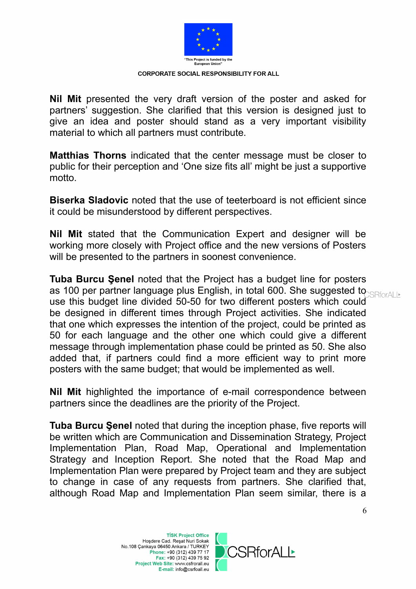

**Nil Mit** presented the very draft version of the poster and asked for partners' suggestion. She clarified that this version is designed just to give an idea and poster should stand as a very important visibility material to which all partners must contribute.

**Matthias Thorns** indicated that the center message must be closer to public for their perception and 'One size fits all' might be just a supportive motto.

**Biserka Sladovic** noted that the use of teeterboard is not efficient since it could be misunderstood by different perspectives.

**Nil Mit** stated that the Communication Expert and designer will be working more closely with Project office and the new versions of Posters will be presented to the partners in soonest convenience.

**Tuba Burcu Şenel** noted that the Project has a budget line for posters as 100 per partner language plus English, in total 600. She suggested to use this budget line divided 50-50 for two different posters which could be designed in different times through Project activities. She indicated that one which expresses the intention of the project, could be printed as 50 for each language and the other one which could give a different message through implementation phase could be printed as 50. She also added that, if partners could find a more efficient way to print more posters with the same budget; that would be implemented as well.

**Nil Mit** highlighted the importance of e-mail correspondence between partners since the deadlines are the priority of the Project.

**Tuba Burcu Şenel** noted that during the inception phase, five reports will be written which are Communication and Dissemination Strategy, Project Implementation Plan, Road Map, Operational and Implementation Strategy and Inception Report. She noted that the Road Map and Implementation Plan were prepared by Project team and they are subject to change in case of any requests from partners. She clarified that, although Road Map and Implementation Plan seem similar, there is a

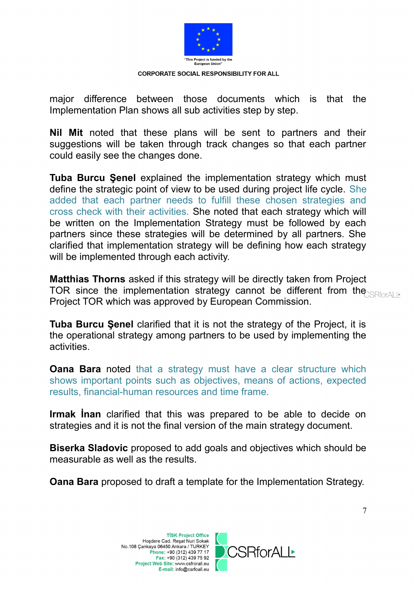

major difference between those documents which is that the Implementation Plan shows all sub activities step by step.

**Nil Mit** noted that these plans will be sent to partners and their suggestions will be taken through track changes so that each partner could easily see the changes done.

**Tuba Burcu Şenel** explained the implementation strategy which must define the strategic point of view to be used during project life cycle. She added that each partner needs to fulfill these chosen strategies and cross check with their activities. She noted that each strategy which will be written on the Implementation Strategy must be followed by each partners since these strategies will be determined by all partners. She clarified that implementation strategy will be defining how each strategy will be implemented through each activity.

**Matthias Thorns** asked if this strategy will be directly taken from Project TOR since the implementation strategy cannot be different from the Project TOR which was approved by European Commission.

**Tuba Burcu Şenel** clarified that it is not the strategy of the Project, it is the operational strategy among partners to be used by implementing the activities.

**Oana Bara** noted that a strategy must have a clear structure which shows important points such as objectives, means of actions, expected results, financial-human resources and time frame.

**Irmak İnan** clarified that this was prepared to be able to decide on strategies and it is not the final version of the main strategy document.

**Biserka Sladovic** proposed to add goals and objectives which should be measurable as well as the results.

**Oana Bara** proposed to draft a template for the Implementation Strategy.

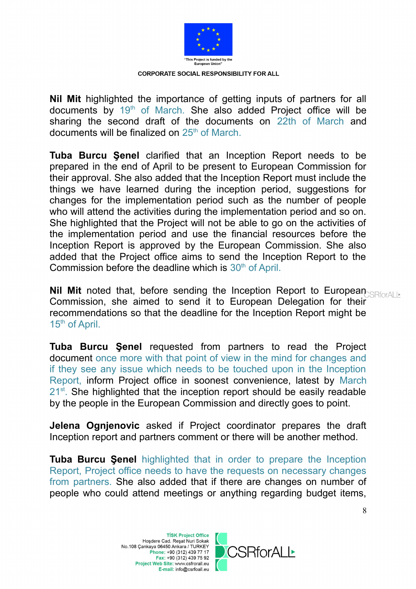

**Nil Mit** highlighted the importance of getting inputs of partners for all documents by 19<sup>th</sup> of March. She also added Project office will be sharing the second draft of the documents on 22th of March and documents will be finalized on  $25<sup>th</sup>$  of March.

**Tuba Burcu Şenel** clarified that an Inception Report needs to be prepared in the end of April to be present to European Commission for their approval. She also added that the Inception Report must include the things we have learned during the inception period, suggestions for changes for the implementation period such as the number of people who will attend the activities during the implementation period and so on. She highlighted that the Project will not be able to go on the activities of the implementation period and use the financial resources before the Inception Report is approved by the European Commission. She also added that the Project office aims to send the Inception Report to the Commission before the deadline which is  $30<sup>th</sup>$  of April.

**Nil Mit** noted that, before sending the Inception Report to European **SREPTION** Commission, she aimed to send it to European Delegation for their recommendations so that the deadline for the Inception Report might be  $15<sup>th</sup>$  of April.

**Tuba Burcu Şenel** requested from partners to read the Project document once more with that point of view in the mind for changes and if they see any issue which needs to be touched upon in the Inception Report, inform Project office in soonest convenience, latest by March  $21^{st}$ . She highlighted that the inception report should be easily readable by the people in the European Commission and directly goes to point.

**Jelena Ognjenovic** asked if Project coordinator prepares the draft Inception report and partners comment or there will be another method.

**Tuba Burcu Şenel** highlighted that in order to prepare the Inception Report, Project office needs to have the requests on necessary changes from partners. She also added that if there are changes on number of people who could attend meetings or anything regarding budget items,

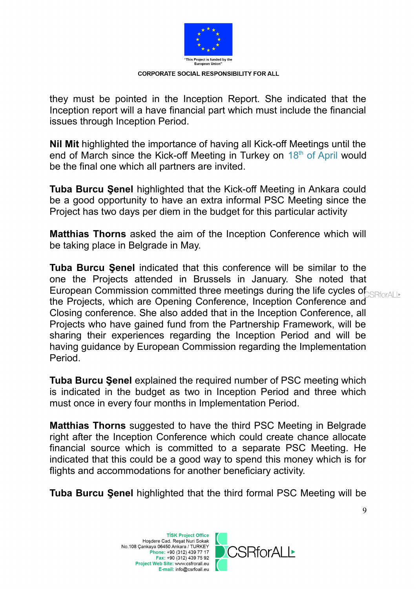

they must be pointed in the Inception Report. She indicated that the Inception report will a have financial part which must include the financial issues through Inception Period.

**Nil Mit** highlighted the importance of having all Kick-off Meetings until the end of March since the Kick-off Meeting in Turkey on 18th of April would be the final one which all partners are invited.

**Tuba Burcu Şenel** highlighted that the Kick-off Meeting in Ankara could be a good opportunity to have an extra informal PSC Meeting since the Project has two days per diem in the budget for this particular activity

**Matthias Thorns** asked the aim of the Inception Conference which will be taking place in Belgrade in May.

**Tuba Burcu Şenel** indicated that this conference will be similar to the one the Projects attended in Brussels in January. She noted that European Commission committed three meetings during the life cycles of  $SIRford$ the Projects, which are Opening Conference, Inception Conference and Closing conference. She also added that in the Inception Conference, all Projects who have gained fund from the Partnership Framework, will be sharing their experiences regarding the Inception Period and will be having guidance by European Commission regarding the Implementation Period.

**Tuba Burcu Şenel** explained the required number of PSC meeting which is indicated in the budget as two in Inception Period and three which must once in every four months in Implementation Period.

**Matthias Thorns** suggested to have the third PSC Meeting in Belgrade right after the Inception Conference which could create chance allocate financial source which is committed to a separate PSC Meeting. He indicated that this could be a good way to spend this money which is for flights and accommodations for another beneficiary activity.

**Tuba Burcu Şenel** highlighted that the third formal PSC Meeting will be



9